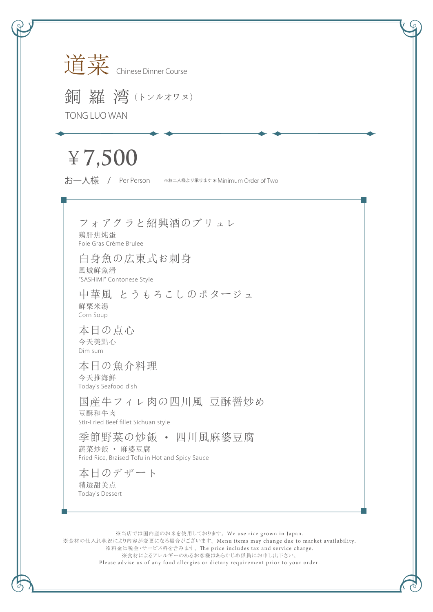

銅羅 湾(トンルオワヌ) TONG LUO WAN

## ¥**7,500**

お一人様 / Per Person ※お二人様より承ります\*Minimum Order of Two

## フォアグラと紹興酒のブリュレ

鶏肝焦炖蛋 Foie Gras Crème Brulee

白身魚の広東式お刺身 風城鮮魚滑 "SASHIMI" Contonese Style

中華風 とうもろこしのポタージュ 鮮栗米湯 Corn Soup

本日の点心 今天美點心 Dim sum

本日の魚介料理 今天推海鮮 Today's Seafood dish

国産牛フィレ肉の四川風 豆酥醤炒め 豆酥和牛肉 Stir-Fried Beef fillet Sichuan style

季節野菜の炒飯 ・ 四川風麻婆豆腐 蔬菜炒飯 ・ 麻婆豆腐 Fried Rice, Braised Tofu in Hot and Spicy Sauce

本日のデザート 精選甜美点 Today's Dessert

※当店では国内産のお米を使用しております。 We use rice grown in Japan. ※食材の仕入れ状況により内容が変更になる場合がございます。 Menu items may change due to market availability. ※料金は税金・サービス料を含みます。 The price includes tax and service charge. ※食材によるアレルギーのあるお客様はあらかじめ係員にお申し出下さい。 Please advise us of any food allergies or dietary requirement prior to your order.